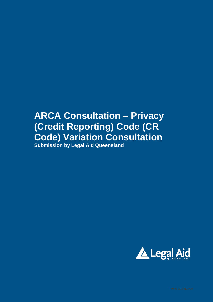# **ARCA Consultation – Privacy (Credit Reporting) Code (CR Code) Variation Consultation Submission by Legal Aid Queensland**

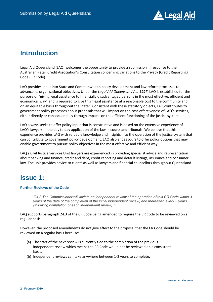

### **Introduction**

Legal Aid Queensland (LAQ) welcomes the opportunity to provide a submission in response to the Australian Retail Credit Association's Consultation concerning variations to the Privacy (Credit Reporting) Code (CR Code).

LAQ provides input into State and Commonwealth policy development and law reform processes to advance its organisational objectives. Under the *Legal Aid Queensland Act 1997*, LAQ is established for the purpose of "giving legal assistance to financially disadvantaged persons in the most effective, efficient and economical way" and is required to give this "legal assistance at a reasonable cost to the community and on an equitable basis throughout the State". Consistent with these statutory objects, LAQ contributes to government policy processes about proposals that will impact on the cost-effectiveness of LAQ's services, either directly or consequentially through impacts on the efficient functioning of the justice system.

LAQ always seeks to offer policy input that is constructive and is based on the extensive experience of LAQ's lawyers in the day to day application of the law in courts and tribunals. We believe that this experience provides LAQ with valuable knowledge and insights into the operation of the justice system that can contribute to government policy development. LAQ also endeavours to offer policy options that may enable government to pursue policy objectives in the most effective and efficient way.

LAQ's Civil Justice Services Unit lawyers are experienced in providing specialist advice and representation about banking and finance, credit and debt, credit reporting and default listings, insurance and consumer law. The unit provides advice to clients as well as lawyers and financial counsellors throughout Queensland.

## **Issue 1:**

#### **Further Reviews of the Code**

*"24.3 The Commissioner will initiate an independent review of the operation of this CR Code within 3 years of the date of the completion of the initial independent review, and thereafter, every 3 years (following completion of each independent review)."*

LAQ supports paragraph 24.3 of the CR Code being amended to require the CR Code to be reviewed on a regular basis.

However, the proposed amendments do not give effect to the proposal that the CR Code should be reviewed on a regular basis because:

- (a) The start of the next review is currently tied to the completion of the previous independent review which means the CR Code would not be reviewed on a consistent basis.
- (b) Independent reviews can take anywhere between 1-2 years to complete.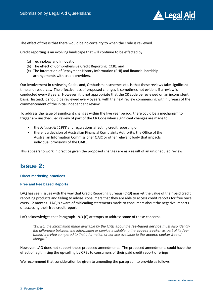

The effect of this is that there would be no certainty to when the Code is reviewed.

Credit reporting is an evolving landscape that will continue to be effected by:

- (a) Technology and Innovation,
- (b) The effect of Comprehensive Credit Reporting (CCR), and
- (c) The interaction of Repayment History Information (RHI) and financial hardship arrangements with credit providers.

Our involvement in reviewing Codes and, Ombudsman schemes etc. is that these reviews take significant time and resources. The effectiveness of proposed changes is sometimes not evident if a review is conducted every 3 years. However, it is not appropriate that the CR code be reviewed on an inconsistent basis. Instead, it should be reviewed every 5years, with the next review commencing within 5 years of the commencement of the initial independent review.

To address the issue of significant changes within the five year period, there could be a mechanism to trigger an- unscheduled review of part of the CR Code when significant changes are made to:

- the *Privacy Act 1988* and regulations affecting credit reporting or
- there is a decision of Australian Financial Complaints Authority, the Office of the Australian Information Commissioner OAIC or other relevant body that impacts individual provisions of the OAIC.

This appears to work in practice given the proposed changes are as a result of an unscheduled review.

### **Issue 2:**

#### **Direct marketing practices**

#### **Free and Fee based Reports**

LAQ has seen issues with the way that Credit Reporting Bureaus (CRB) market the value of their paid credit reporting products and failing to advise consumers that they are able to access credit reports for free once every 12 months. LAQ is aware of misleading statements made to consumers about the negative impacts of accessing their free credit report.

LAQ acknowledges that Paragraph 19.3 (C) attempts to address some of these concerns.

*"19.3(c) the information made available by the CRB about the fee-based service must also identify the difference between the information or service available to the access seeker as part of its feebased service compared to that information or service available to the access seeker free of charge."*

However, LAQ does not support these proposed amendments. The proposed amendments could have the effect of legitimising the up-selling by CRBs to consumers of their paid credit report offerings.

We recommend that consideration be given to amending the paragraph to provide as follows: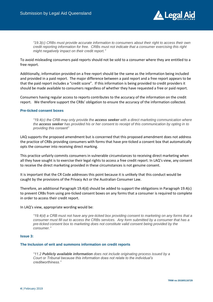

*"19.3(c) CRBs must provide accurate information to consumers about their right to access their own credit reporting information for free. CRBs must not indicate that a consumer exercising this right might negatively impact on their credit report."*

To avoid misleading consumers paid reports should not be sold to a consumer where they are entitled to a free report.

Additionally, information provided on a free report should be the same as the information being included and provided in a paid report. The major difference between a paid report and a free report appears to be that the paid report includes a "credit score". If this information is being provided to credit providers it should be made available to consumers regardless of whether they have requested a free or paid report.

Consumers having regular access to reports contributes to the accuracy of the information on the credit report. We therefore support the CRBs' obligation to ensure the accuracy of the information collected.

#### **Pre-ticked consent boxes**

*"19.4(c) the CRB may only provide the access seeker with a direct marketing communication where the access seeker has provided his or her consent to receipt of this communication by opting in to providing this consent"*

LAQ supports the proposed amendment but is concerned that this proposed amendment does not address the practice of CRBs providing consumers with forms that have pre-ticked a consent box that automatically opts the consumer into receiving direct marking.

This practice unfairly commits consumers in vulnerable circumstances to receiving direct marketing when all they have sought is to exercise their legal rights to access a free credit report. In LAQ's view, any consent to receive the direct marketing provided in these circumstances is not genuine consent.

It is important that the CR Code addresses this point because it is unlikely that this conduct would be caught by the provisions of the Privacy Act or the Australian Consumer Law.

Therefore, an additional Paragraph 19.4(d) should be added to support the obligations in Paragraph 19.4(c) to prevent CRBs from using pre-ticked consent boxes on any forms that a consumer is required to complete in order to access their credit report.

#### In LAQ's view, appropriate wording would be:

*"19.4(d) a CRB must not have any pre-ticked box providing consent to marketing on any forms that a consumer must fill out to access the CRBs services. Any form submitted by a consumer that has a pre-ticked consent box to marketing does not constitute valid consent being provided by the consumer."*

#### **Issue 3:**

#### **The Inclusion of writ and summons information on credit reports**

*"11.2 Publicly available information does not include originating process issued by a Court or Tribunal because this information does not relate to the individual's creditworthiness."*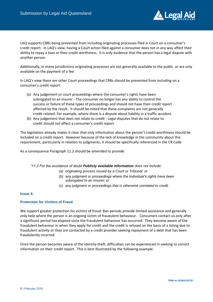

LAQ supports CRBs being prevented from including originating processes filed in Court on a consumer's credit report. In LAQ's view, having a Court action filed against a consumer does not in any way affect their ability to repay a loan or their credit worthiness. It is only evidence that the person has a legal dispute with another person.

Additionally, in many jurisdictions originating processes are not generally available to the public or are only available on the payment of a fee.

In LAQ's view there are other Court proceedings that CRBs should be prevented from including on a consumer's credit report:

- (a) Any judgement or court proceedings where the consumer's rights have been subrogated to an insurer - The consumer no longer has any ability to control the success or failure of these types of proceedings and should not have their credit report affected by the result. It should be noted that these complaints are not generally credit related. For example, where there is a dispute about liability in a traffic accident.
- (b) Any judgement that does not relate to credit Legal disputes that do not relate to credit should not affect a consumer's credit report.

The legislation already makes it clear that only information about the person's credit worthiness should be included on a credit report. However because of the lack of knowledge in the community about this requirement, particularly in relation to judgments, it should be specifically referenced in the CR Code

As a consequence Paragraph 11.2 should be amended to provide:

*"11.2 For the avoidance of doubt Publicly available information does not include:*

- *(a) originating process issued by a Court or Tribunal; or*
- *(b) any judgment or proceedings where the individual's rights have been subrogated to an insurer; or*
- *(c) any judgment or proceedings that is otherwise unrelated to credit.*

#### **Issue 4:**

#### **Protection for Victims of Fraud**

We support greater protection for victims of fraud. Ban periods provide limited assistance and generally only help where the person is an ongoing victim of fraudulent behaviour. Consumers contact us only after a significant period has elapsed since the fraudulent behaviour has occurred. They become aware of the fraudulent behaviour in when they apply for credit and the credit is refused on the basis of a listing due to fraudulent activity or they are contacted by a credit provider seeking repayment of a debt that has been fraudulently incurred.

Once the person becomes aware of the identity theft, difficulties can be experienced in seeking to correct information on their credit report. This is best illustrated by the following example.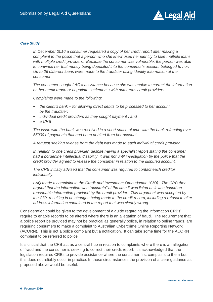

#### *Case Study*

*In December 2016 a consumer requested a copy of her credit report after making a complaint to the police that a person who she knew used her identity to take multiple loans with multiple credit providers. Because the consumer was vulnerable, the person was able to convince her that money being deposited into the consumer's account belonged to her. Up to 26 different loans were made to the fraudster using identity information of the consumer.*

*The consumer sought LAQ's assistance because she was unable to correct the information on her credit report or negotiate settlements with numerous credit providers.*

*Complaints were made to the following:*

- *the client's bank – for allowing direct debits to be processed to her account by the fraudster;*
- *individual credit providers as they sought payment ; and*
- *a CRB*

*The issue with the bank was resolved in a short space of time with the bank refunding over \$5000 of payments that had been debited from her account*

*A request seeking release from the debt was made to each individual credit provider.*

*In relation to one credit provider, despite having a specialist report stating the consumer had a borderline intellectual disability, it was not until investigation by the police that the credit provider agreed to release the consumer in relation to the disputed account.*

*The CRB initially advised that the consumer was required to contact each creditor individually.*

*LAQ made a complaint to the Credit and Investment Ombudsman (CIO). The CRB then argued that the information was "accurate" at the time it was listed as it was based on reasonable information provided by the credit provider. This argument was accepted by the CIO, resulting in no changes being made to the credit record, including a refusal to alter address information contained in the report that was clearly wrong.*

Consideration could be given to the development of a guide regarding the information CRBs' require to enable records to be altered where there is an allegation of fraud. The requirement that a police report be provided may not be practical as generally police, in relation to online frauds, are requiring consumers to make a complaint to Australian Cybercrime Online Reporting Network (ACORN). This is not a police complaint but a notification. It can take some time for the ACORN complaint to be referred to police.

It is critical that the CRB act as a central hub in relation to complaints where there is an allegation of fraud and the consumer is seeking to correct their credit report. It's acknowledged that the legislation requires CRBs to provide assistance where the consumer first complains to them but this does not reliably occur in practice. In those circumstances the provision of a clear guidance as proposed above would be useful.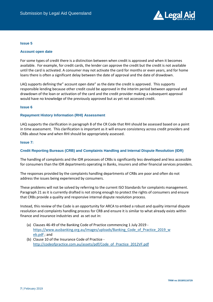

#### **Issue 5**

#### **Account open date**

For some types of credit there is a distinction between when credit is approved and when it becomes available. For example, for credit cards, the lender can approve the credit but the credit is not available until the card is activated. A consumer may not activate the card for months or even years, and for home loans there is often a significant delay between the date of approval and the date of drawdown.

LAQ supports defining the" account open date" as the date the credit is approved. This supports responsible lending because other credit could be approved in the interim period between approval and drawdown of the loan or activation of the card and the credit provider making a subsequent approval would have no knowledge of the previously approved but as yet not accessed credit.

#### **Issue 6**

#### **Repayment History Information (RHI) Assessment**

LAQ supports the clarification in paragraph 8 of the CR Code that RHI should be assessed based on a point in time assessment. This clarification is important as it will ensure consistency across credit providers and CRBs about how and when RHI should be appropriately assessed.

#### **Issue 7:**

#### **Credit Reporting Bureaus (CRB) and Complaints Handling and Internal Dispute Resolution (IDR)**

The handling of complaints and the IDR processes of CRBs is significantly less developed and less accessible for consumers than the IDR departments operating in Banks, insurers and other financial services providers.

The responses provided by the complaints handling departments of CRBs are poor and often do not address the issues being experienced by consumers.

These problems will not be solved by referring to the current ISO Standards for complaints management. Paragraph 21 as it is currently drafted is not strong enough to protect the rights of consumers and ensure that CRBs provide a quality and responsive internal dispute resolution process.

Instead, this review of the Code is an opportunity for ARCA to embed a robust and quality internal dispute resolution and complaints handling process for CRB and ensure it is similar to what already exists within finance and insurance industries and as set out in:

- (a) Clauses 46-49 of the Banking Code of Practice commencing 1 July 2019 [https://www.ausbanking.org.au/images/uploads/Banking\\_Code\\_of\\_Practice\\_2019\\_w](https://www.ausbanking.org.au/images/uploads/Banking_Code_of_Practice_2019_web.pdf) [eb.pdf](https://www.ausbanking.org.au/images/uploads/Banking_Code_of_Practice_2019_web.pdf) ; and
- (b) Clause 10 of the Insurance Code of Practice [http://codeofpractice.com.au/assets/pdf/Code\\_of\\_Practice\\_2012VF.pdf](http://codeofpractice.com.au/assets/pdf/Code_of_Practice_2012VF.pdf)